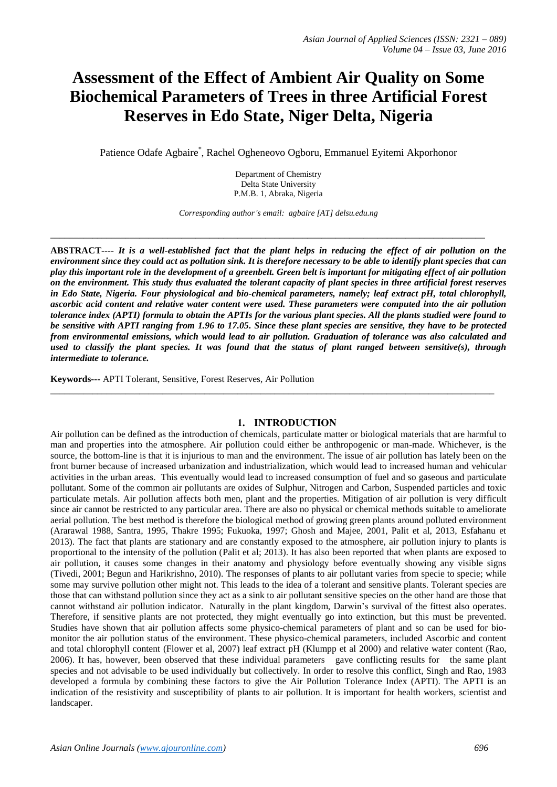# **Assessment of the Effect of Ambient Air Quality on Some Biochemical Parameters of Trees in three Artificial Forest Reserves in Edo State, Niger Delta, Nigeria**

Patience Odafe Agbaire \* , Rachel Ogheneovo Ogboru, Emmanuel Eyitemi Akporhonor

Department of Chemistry Delta State University P.M.B. 1, Abraka, Nigeria

*Corresponding author's email: agbaire [AT] delsu.edu.ng*

**\_\_\_\_\_\_\_\_\_\_\_\_\_\_\_\_\_\_\_\_\_\_\_\_\_\_\_\_\_\_\_\_\_\_\_\_\_\_\_\_\_\_\_\_\_\_\_\_\_\_\_\_\_\_\_\_\_\_\_\_\_\_\_\_\_\_\_\_\_\_\_\_\_\_\_\_\_\_\_\_\_\_\_\_\_\_\_\_\_\_\_\_\_**

**ABSTRACT----** *It is a well-established fact that the plant helps in reducing the effect of air pollution on the environment since they could act as pollution sink. It is therefore necessary to be able to identify plant species that can play this important role in the development of a greenbelt. Green belt is important for mitigating effect of air pollution on the environment. This study thus evaluated the tolerant capacity of plant species in three artificial forest reserves in Edo State, Nigeria. Four physiological and bio-chemical parameters, namely; leaf extract pH, total chlorophyll, ascorbic acid content and relative water content were used. These parameters were computed into the air pollution tolerance index (APTI) formula to obtain the APTIs for the various plant species. All the plants studied were found to be sensitive with APTI ranging from 1.96 to 17.05. Since these plant species are sensitive, they have to be protected from environmental emissions, which would lead to air pollution. Graduation of tolerance was also calculated and used to classify the plant species. It was found that the status of plant ranged between sensitive(s), through intermediate to tolerance.*

**Keywords---** APTI Tolerant, Sensitive, Forest Reserves, Air Pollution

#### **1. INTRODUCTION**

\_\_\_\_\_\_\_\_\_\_\_\_\_\_\_\_\_\_\_\_\_\_\_\_\_\_\_\_\_\_\_\_\_\_\_\_\_\_\_\_\_\_\_\_\_\_\_\_\_\_\_\_\_\_\_\_\_\_\_\_\_\_\_\_\_\_\_\_\_\_\_\_\_\_\_\_\_\_\_\_\_\_\_\_\_\_\_\_\_\_\_\_\_\_\_

Air pollution can be defined as the introduction of chemicals, particulate matter or biological materials that are harmful to man and properties into the atmosphere. Air pollution could either be anthropogenic or man-made. Whichever, is the source, the bottom-line is that it is injurious to man and the environment. The issue of air pollution has lately been on the front burner because of increased urbanization and industrialization, which would lead to increased human and vehicular activities in the urban areas. This eventually would lead to increased consumption of fuel and so gaseous and particulate pollutant. Some of the common air pollutants are oxides of Sulphur, Nitrogen and Carbon, Suspended particles and toxic particulate metals. Air pollution affects both men, plant and the properties. Mitigation of air pollution is very difficult since air cannot be restricted to any particular area. There are also no physical or chemical methods suitable to ameliorate aerial pollution. The best method is therefore the biological method of growing green plants around polluted environment (Ararawal 1988, Santra, 1995, Thakre 1995; Fukuoka, 1997; Ghosh and Majee, 2001, Palit et al, 2013, Esfahanu et 2013). The fact that plants are stationary and are constantly exposed to the atmosphere, air pollution injury to plants is proportional to the intensity of the pollution (Palit et al; 2013). It has also been reported that when plants are exposed to air pollution, it causes some changes in their anatomy and physiology before eventually showing any visible signs (Tivedi, 2001; Begun and Harikrishno, 2010). The responses of plants to air pollutant varies from specie to specie; while some may survive pollution other might not. This leads to the idea of a tolerant and sensitive plants. Tolerant species are those that can withstand pollution since they act as a sink to air pollutant sensitive species on the other hand are those that cannot withstand air pollution indicator. Naturally in the plant kingdom, Darwin's survival of the fittest also operates. Therefore, if sensitive plants are not protected, they might eventually go into extinction, but this must be prevented. Studies have shown that air pollution affects some physico-chemical parameters of plant and so can be used for biomonitor the air pollution status of the environment. These physico-chemical parameters, included Ascorbic and content and total chlorophyll content (Flower et al, 2007) leaf extract pH (Klumpp et al 2000) and relative water content (Rao, 2006). It has, however, been observed that these individual parameters gave conflicting results for the same plant species and not advisable to be used individually but collectively. In order to resolve this conflict, Singh and Rao, 1983 developed a formula by combining these factors to give the Air Pollution Tolerance Index (APTI). The APTI is an indication of the resistivity and susceptibility of plants to air pollution. It is important for health workers, scientist and landscaper.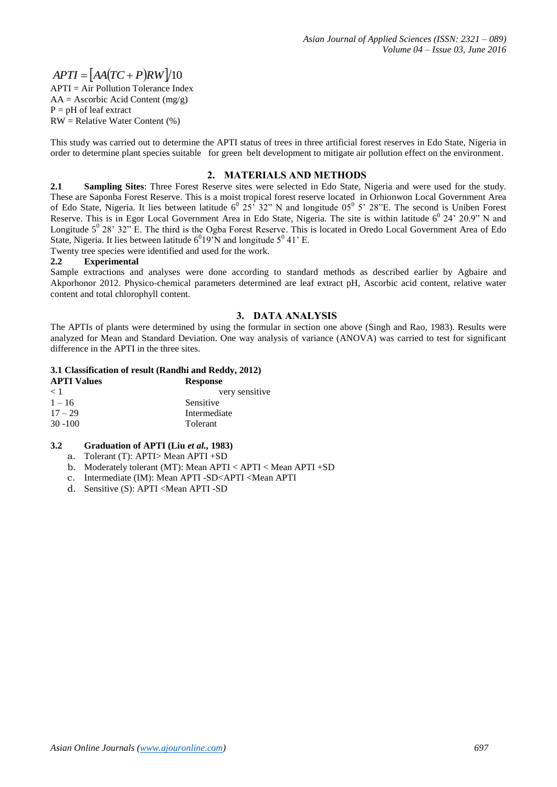## $APTI = [AA(TC + P)RW]/10$

 $APTI = Air$  Pollution Tolerance Index  $AA = Ascorbic Acid Content (mg/g)$  $P = pH$  of leaf extract RW = Relative Water Content (%)

This study was carried out to determine the APTI status of trees in three artificial forest reserves in Edo State, Nigeria in order to determine plant species suitable for green belt development to mitigate air pollution effect on the environment.

#### **2. MATERIALS AND METHODS**

**2.1 Sampling Sites**: Three Forest Reserve sites were selected in Edo State, Nigeria and were used for the study. These are Saponba Forest Reserve. This is a moist tropical forest reserve located in Orhionwon Local Government Area of Edo State, Nigeria. It lies between latitude  $6^0$   $25^{\circ}$   $32^{\circ}$  N and longitude  $05^0$  5'  $28^{\circ}$ E. The second is Uniben Forest Reserve. This is in Egor Local Government Area in Edo State, Nigeria. The site is within latitude  $6^0$  24' 20.9" N and Longitude  $5^0$  28' 32" E. The third is the Ogba Forest Reserve. This is located in Oredo Local Government Area of Edo State, Nigeria. It lies between latitude  $6^019'N$  and longitude  $5^0$  41' E.

Twenty tree species were identified and used for the work.

#### **2.2 Experimental**

Sample extractions and analyses were done according to standard methods as described earlier by Agbaire and Akporhonor 2012. Physico-chemical parameters determined are leaf extract pH, Ascorbic acid content, relative water content and total chlorophyll content.

#### **3. DATA ANALYSIS**

The APTIs of plants were determined by using the formular in section one above (Singh and Rao, 1983). Results were analyzed for Mean and Standard Deviation. One way analysis of variance (ANOVA) was carried to test for significant difference in the APTI in the three sites.

#### **3.1 Classification of result (Randhi and Reddy, 2012)**

| <b>APTI Values</b> | <b>Response</b> |
|--------------------|-----------------|
| < 1                | very sensitive  |
| $1 - 16$           | Sensitive       |
| $17 - 29$          | Intermediate    |
| $30 - 100$         | Tolerant        |

#### **3.2 Graduation of APTI (Liu** *et al.,* **1983)**

- a. Tolerant (T): APTI> Mean APTI +SD
- b. Moderately tolerant (MT): Mean APTI < APTI < Mean APTI +SD
- c. Intermediate (IM): Mean APTI -SD<APTI <Mean APTI
- d. Sensitive (S): APTI <Mean APTI -SD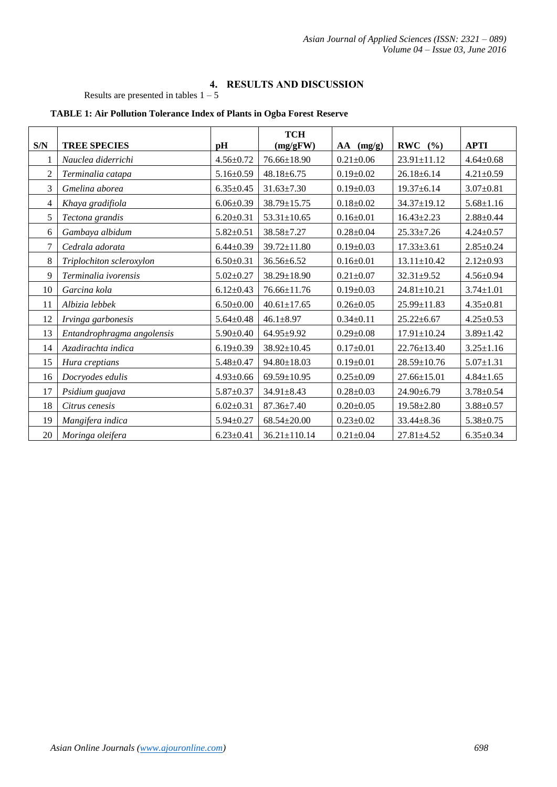### **4. RESULTS AND DISCUSSION**

Results are presented in tables  $1 - 5$ 

|                |                            |                 | <b>TCH</b>         |                 |                   |                 |
|----------------|----------------------------|-----------------|--------------------|-----------------|-------------------|-----------------|
| S/N            | <b>TREE SPECIES</b>        | pH              | (mg/gFW)           | $AA$ (mg/g)     | <b>RWC</b><br>(%) | <b>APTI</b>     |
| 1              | Nauclea diderrichi         | $4.56 \pm 0.72$ | 76.66±18.90        | $0.21 \pm 0.06$ | 23.91±11.12       | $4.64 \pm 0.68$ |
| $\overline{2}$ | Terminalia catapa          | $5.16 \pm 0.59$ | $48.18 \pm 6.75$   | $0.19 \pm 0.02$ | $26.18 \pm 6.14$  | $4.21 \pm 0.59$ |
| $\overline{3}$ | Gmelina aborea             | $6.35 \pm 0.45$ | $31.63 \pm 7.30$   | $0.19 \pm 0.03$ | 19.37±6.14        | $3.07 \pm 0.81$ |
| 4              | Khaya gradifiola           | $6.06 \pm 0.39$ | 38.79±15.75        | $0.18 \pm 0.02$ | $34.37 \pm 19.12$ | $5.68 \pm 1.16$ |
| 5              | Tectona grandis            | $6.20 \pm 0.31$ | $53.31 \pm 10.65$  | $0.16 \pm 0.01$ | $16.43 \pm 2.23$  | $2.88 \pm 0.44$ |
| 6              | Gambaya albidum            | $5.82 \pm 0.51$ | 38.58±7.27         | $0.28 \pm 0.04$ | $25.33 \pm 7.26$  | $4.24 \pm 0.57$ |
| $\overline{7}$ | Cedrala adorata            | $6.44 \pm 0.39$ | 39.72±11.80        | $0.19 \pm 0.03$ | $17.33 \pm 3.61$  | $2.85 \pm 0.24$ |
| 8              | Triplochiton scleroxylon   | $6.50 \pm 0.31$ | $36.56 \pm 6.52$   | $0.16 \pm 0.01$ | $13.11 \pm 10.42$ | $2.12 \pm 0.93$ |
| 9              | Terminalia ivorensis       | $5.02 \pm 0.27$ | 38.29±18.90        | $0.21 \pm 0.07$ | $32.31 \pm 9.52$  | $4.56 \pm 0.94$ |
| 10             | Garcina kola               | $6.12 \pm 0.43$ | 76.66±11.76        | $0.19 \pm 0.03$ | $24.81 \pm 10.21$ | $3.74 \pm 1.01$ |
| 11             | Albizia lebbek             | $6.50 \pm 0.00$ | $40.61 \pm 17.65$  | $0.26 \pm 0.05$ | 25.99±11.83       | $4.35 \pm 0.81$ |
| 12             | Irvinga garbonesis         | $5.64 \pm 0.48$ | $46.1 \pm 8.97$    | $0.34 \pm 0.11$ | $25.22 \pm 6.67$  | $4.25 \pm 0.53$ |
| 13             | Entandrophragma angolensis | $5.90 \pm 0.40$ | $64.95 \pm 9.92$   | $0.29 \pm 0.08$ | $17.91 \pm 10.24$ | $3.89 \pm 1.42$ |
| 14             | Azadirachta indica         | $6.19 \pm 0.39$ | 38.92±10.45        | $0.17 \pm 0.01$ | $22.76 \pm 13.40$ | $3.25 \pm 1.16$ |
| 15             | Hura creptians             | $5.48 \pm 0.47$ | $94.80 \pm 18.03$  | $0.19 \pm 0.01$ | $28.59 \pm 10.76$ | $5.07 \pm 1.31$ |
| 16             | Docryodes edulis           | $4.93 \pm 0.66$ | $69.59 \pm 10.95$  | $0.25 \pm 0.09$ | $27.66 \pm 15.01$ | $4.84 \pm 1.65$ |
| 17             | Psidium guajava            | $5.87 \pm 0.37$ | $34.91 \pm 8.43$   | $0.28 \pm 0.03$ | $24.90 \pm 6.79$  | $3.78 \pm 0.54$ |
| 18             | Citrus cenesis             | $6.02 \pm 0.31$ | $87.36 \pm 7.40$   | $0.20 \pm 0.05$ | $19.58 \pm 2.80$  | $3.88 \pm 0.57$ |
| 19             | Mangifera indica           | $5.94 \pm 0.27$ | $68.54 \pm 20.00$  | $0.23 \pm 0.02$ | 33.44±8.36        | $5.38 \pm 0.75$ |
| 20             | Moringa oleifera           | $6.23 \pm 0.41$ | $36.21 \pm 110.14$ | $0.21 \pm 0.04$ | $27.81 \pm 4.52$  | $6.35 \pm 0.34$ |

#### **TABLE 1: Air Pollution Tolerance Index of Plants in Ogba Forest Reserve**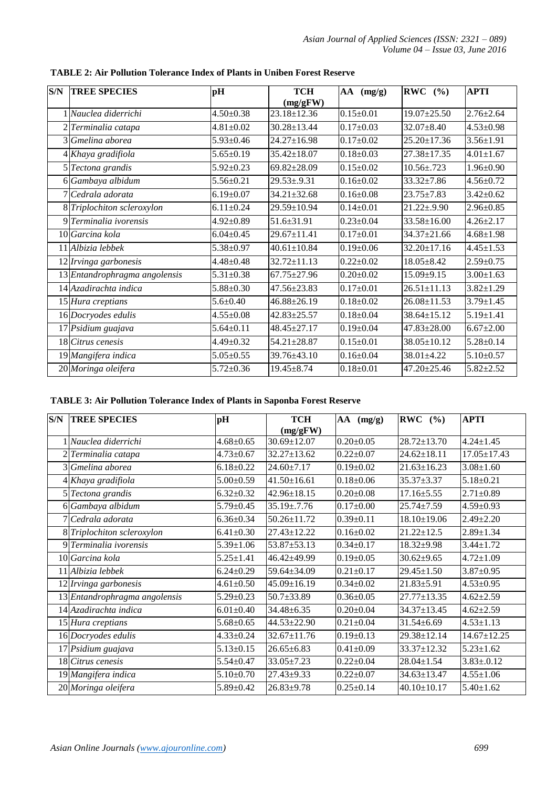| S/N | <b>TREE SPECIES</b>           | pH              | <b>TCH</b><br>(mg/gFW) | AA (mg/g)       | RWC $(%$          | <b>APTI</b>     |
|-----|-------------------------------|-----------------|------------------------|-----------------|-------------------|-----------------|
|     | 1 Nauclea diderrichi          | $4.50 \pm 0.38$ | 23.18±12.36            | $0.15 \pm 0.01$ | $19.07 \pm 25.50$ | $2.76 \pm 2.64$ |
|     | 2 Terminalia catapa           | $4.81 \pm 0.02$ | $30.28 \pm 13.44$      | $0.17 \pm 0.03$ | $32.07 \pm 8.40$  | $4.53 \pm 0.98$ |
|     | 3 Gmelina aborea              | $5.93 \pm 0.46$ | 24.27±16.98            | $0.17 \pm 0.02$ | $25.20 \pm 17.36$ | $3.56 \pm 1.91$ |
|     | 4 Khaya gradifiola            | $5.65 \pm 0.19$ | 35.42±18.07            | $0.18 \pm 0.03$ | 27.38±17.35       | $4.01 \pm 1.67$ |
|     | 5 Tectona grandis             | $5.92 \pm 0.23$ | $69.82 + 28.09$        | $0.15 \pm 0.02$ | $10.56 \pm .723$  | $1.96 \pm 0.90$ |
|     | 6 Gambaya albidum             | $5.56 \pm 0.21$ | $29.53 \pm .9.31$      | $0.16 \pm 0.02$ | 33.32±7.86        | $4.56 \pm 0.72$ |
|     | 7 Cedrala adorata             | $6.19 \pm 0.07$ | $34.21 \pm 32.68$      | $0.16 \pm 0.08$ | $23.75 \pm 7.83$  | $3.42 \pm 0.62$ |
|     | 8 Triplochiton scleroxylon    | $6.11 \pm 0.24$ | 29.59±10.94            | $0.14 \pm 0.01$ | $21.22 \pm .9.90$ | $2.96 \pm 0.85$ |
|     | 9 Terminalia ivorensis        | $4.92 \pm 0.89$ | 51.6±31.91             | $0.23 \pm 0.04$ | $33.58 \pm 16.00$ | $4.26 \pm 2.17$ |
|     | 10 Garcina kola               | $6.04 \pm 0.45$ | 29.67±11.41            | $0.17 \pm 0.01$ | 34.37±21.66       | $4.68 \pm 1.98$ |
|     | 11 Albizia lebbek             | $5.38 \pm 0.97$ | $40.61 \pm 10.84$      | $0.19 \pm 0.06$ | $32.20 \pm 17.16$ | $4.45 \pm 1.53$ |
|     | 12 Irvinga garbonesis         | $4.48 \pm 0.48$ | $32.72 \pm 11.13$      | $0.22 + 0.02$   | $18.05 \pm 8.42$  | $2.59 \pm 0.75$ |
|     | 13 Entandrophragma angolensis | $5.31 \pm 0.38$ | $67.75 \pm 27.96$      | $0.20 \pm 0.02$ | 15.09±9.15        | $3.00 \pm 1.63$ |
|     | 14 Azadirachta indica         | $5.88 \pm 0.30$ | 47.56±23.83            | $0.17 \pm 0.01$ | $26.51 \pm 11.13$ | $3.82 \pm 1.29$ |
|     | 15 Hura creptians             | $5.6 \pm 0.40$  | $46.88 \pm 26.19$      | $0.18 \pm 0.02$ | $26.08 \pm 11.53$ | $3.79 \pm 1.45$ |
|     | 16 Docryodes edulis           | $4.55 \pm 0.08$ | 42.83±25.57            | $0.18 \pm 0.04$ | 38.64±15.12       | $5.19 \pm 1.41$ |
|     | 17 Psidium guajava            | $5.64 \pm 0.11$ | $48.45 \pm 27.17$      | $0.19 \pm 0.04$ | $47.83 \pm 28.00$ | $6.67 \pm 2.00$ |
|     | 18 Citrus cenesis             | $4.49 \pm 0.32$ | 54.21±28.87            | $0.15 \pm 0.01$ | 38.05±10.12       | $5.28 \pm 0.14$ |
|     | 19 Mangifera indica           | $5.05 \pm 0.55$ | 39.76±43.10            | $0.16 \pm 0.04$ | $38.01 \pm 4.22$  | $5.10 \pm 0.57$ |
|     | 20 Moringa oleifera           | $5.72 \pm 0.36$ | 19.45±8.74             | $0.18 \pm 0.01$ | 47.20±25.46       | $5.82 \pm 2.52$ |

**TABLE 2: Air Pollution Tolerance Index of Plants in Uniben Forest Reserve**

#### **TABLE 3: Air Pollution Tolerance Index of Plants in Saponba Forest Reserve**

| S/N | <b>TREE SPECIES</b>           | pH              | <b>TCH</b>        | AA<br>(mg/g)    | RWC $(%$          | <b>APTI</b>       |
|-----|-------------------------------|-----------------|-------------------|-----------------|-------------------|-------------------|
|     |                               |                 | (mg/gFW)          |                 |                   |                   |
|     | 1 Nauclea diderrichi          | $4.68 \pm 0.65$ | 30.69±12.07       | $0.20 \pm 0.05$ | 28.72±13.70       | $4.24 \pm 1.45$   |
|     | 2 Terminalia catapa           | $4.73 \pm 0.67$ | $32.27 \pm 13.62$ | $0.22 \pm 0.07$ | $24.62 \pm 18.11$ | $17.05 \pm 17.43$ |
|     | 3 Gmelina aborea              | $6.18 \pm 0.22$ | $24.60 \pm 7.17$  | $0.19 \pm 0.02$ | $21.63 \pm 16.23$ | $3.08 \pm 1.60$   |
|     | 4 Khaya gradifiola            | $5.00 \pm 0.59$ | $41.50 \pm 16.61$ | $0.18 \pm 0.06$ | 35.37±3.37        | $5.18 \pm 0.21$   |
|     | 5 Tectona grandis             | $6.32 \pm 0.32$ | 42.96±18.15       | $0.20 \pm 0.08$ | $17.16 \pm 5.55$  | $2.71 \pm 0.89$   |
|     | 6 Gambaya albidum             | $5.79 \pm 0.45$ | $35.19 \pm .7.76$ | $0.17 \pm 0.00$ | $25.74 \pm 7.59$  | $4.59 \pm 0.93$   |
|     | 7 Cedrala adorata             | $6.36 \pm 0.34$ | 50.26±11.72       | $0.39 \pm 0.11$ | $18.10 \pm 19.06$ | $2.49 \pm 2.20$   |
|     | 8 Triplochiton scleroxylon    | $6.41 \pm 0.30$ | 27.43±12.22       | $0.16 \pm 0.02$ | $21.22 \pm 12.5$  | $2.89 \pm 1.34$   |
|     | 9 Terminalia ivorensis        | $5.39 \pm 1.06$ | 53.87±53.13       | $0.34 \pm 0.17$ | $18.32{\pm}9.98$  | $3.44 \pm 1.72$   |
|     | 10 Garcina kola               | $5.25 \pm 1.41$ | 46.42±49.99       | $0.19 \pm 0.05$ | $30.62{\pm}9.65$  | $4.72 \pm 1.09$   |
|     | 11 Albizia lebbek             | $6.24 \pm 0.29$ | 59.64±34.09       | $0.21 \pm 0.17$ | $29.45 \pm 1.50$  | $3.87 \pm 0.95$   |
|     | 12 Irvinga garbonesis         | $4.61 \pm 0.50$ | 45.09±16.19       | $0.34 \pm 0.02$ | $21.83 \pm 5.91$  | $4.53 \pm 0.95$   |
|     | 13 Entandrophragma angolensis | $5.29 \pm 0.23$ | 50.7±33.89        | $0.36 \pm 0.05$ | $27.77 \pm 13.35$ | $4.62 \pm 2.59$   |
|     | 14 Azadirachta indica         | $6.01 \pm 0.40$ | 34.48±6.35        | $0.20 \pm 0.04$ | 34.37±13.45       | $4.62 \pm 2.59$   |
|     | 15 Hura creptians             | $5.68 \pm 0.65$ | 44.53±22.90       | $0.21 \pm 0.04$ | 31.54±6.69        | $4.53 \pm 1.13$   |
|     | 16 Docryodes edulis           | $4.33 \pm 0.24$ | $32.67 \pm 11.76$ | $0.19 \pm 0.13$ | 29.38±12.14       | $14.67 \pm 12.25$ |
|     | 17 Psidium guajava            | $5.13 \pm 0.15$ | $26.65 \pm 6.83$  | $0.41 \pm 0.09$ | 33.37±12.32       | $5.23 \pm 1.62$   |
|     | 18 Citrus cenesis             | $5.54 \pm 0.47$ | $33.05 \pm 7.23$  | $0.22 \pm 0.04$ | $28.04 \pm 1.54$  | $3.83 \pm .0.12$  |
|     | 19 Mangifera indica           | $5.10 \pm 0.70$ | $27.43 \pm 9.33$  | $0.22 \pm 0.07$ | 34.63±13.47       | $4.55 \pm 1.06$   |
|     | 20 Moringa oleifera           | $5.89 \pm 0.42$ | $26.83 + 9.78$    | $0.25 \pm 0.14$ | $40.10 \pm 10.17$ | $5.40 \pm 1.62$   |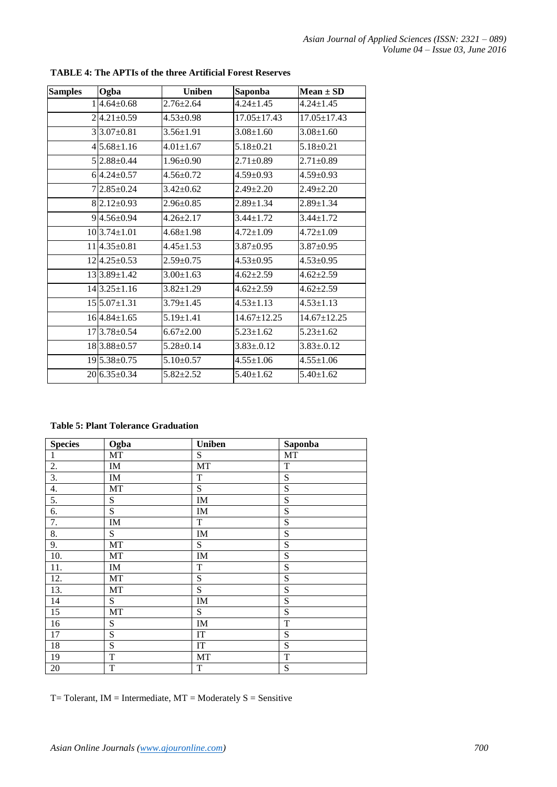| <b>Samples</b> | Ogba               | <b>Uniben</b>   | <b>Saponba</b>    | $Mean \pm SD$     |
|----------------|--------------------|-----------------|-------------------|-------------------|
|                | $1 4.64\pm0.68$    | $2.76 \pm 2.64$ | $4.24 + 1.45$     | $4.24 + 1.45$     |
|                | $2 4.21\pm0.59$    | $4.53 \pm 0.98$ | $17.05 \pm 17.43$ | $17.05 \pm 17.43$ |
|                | $3 3.07\pm0.81$    | $3.56 \pm 1.91$ | $3.08 + 1.60$     | $3.08 \pm 1.60$   |
|                | $4 5.68\pm1.16$    | $4.01 \pm 1.67$ | $5.18 + 0.21$     | $5.18+0.21$       |
|                | 5 2.88±0.44        | $1.96 \pm 0.90$ | $2.71 \pm 0.89$   | $2.71 \pm 0.89$   |
|                | $6 4.24+0.57$      | $4.56 \pm 0.72$ | $4.59 \pm 0.93$   | $4.59 \pm 0.93$   |
|                | $7 2.85\pm0.24$    | $3.42 \pm 0.62$ | $2.49 \pm 2.20$   | $2.49 \pm 2.20$   |
|                | $8 2.12\pm0.93$    | $2.96 \pm 0.85$ | $2.89 \pm 1.34$   | $2.89 \pm 1.34$   |
|                | $9 4.56\pm0.94$    | $4.26 + 2.17$   | $3.44 + 1.72$     | $3.44 + 1.72$     |
|                | $10 3.74\pm1.01$   | $4.68 \pm 1.98$ | $4.72 \pm 1.09$   | $4.72 \pm 1.09$   |
|                | $11 4.35\pm0.81$   | $4.45 \pm 1.53$ | $3.87 \pm 0.95$   | $3.87 \pm 0.95$   |
|                | $12 4.25\pm0.53$   | $2.59 + 0.75$   | $4.53 \pm 0.95$   | $4.53 \pm 0.95$   |
|                | $13 3.89\pm1.42$   | $3.00 \pm 1.63$ | $4.62 + 2.59$     | $4.62 + 2.59$     |
|                | $14 3.25 \pm 1.16$ | $3.82 \pm 1.29$ | $4.62 \pm 2.59$   | $4.62 \pm 2.59$   |
|                | $15 5.07\pm1.31$   | $3.79 \pm 1.45$ | $4.53 \pm 1.13$   | $4.53 \pm 1.13$   |
|                | $16 4.84\pm1.65$   | $5.19 \pm 1.41$ | $14.67 \pm 12.25$ | $14.67 \pm 12.25$ |
|                | 173.78±0.54        | $6.67 \pm 2.00$ | $5.23 \pm 1.62$   | $5.23 \pm 1.62$   |
|                | 183.88±0.57        | $5.28 \pm 0.14$ | $3.83 \pm .0.12$  | $3.83 \pm 0.12$   |
|                | $19 5.38\pm0.75$   | $5.10 \pm 0.57$ | $4.55 \pm 1.06$   | $4.55 \pm 1.06$   |
|                | $20\,6.35\pm0.34$  | $5.82 \pm 2.52$ | $5.40 \pm 1.62$   | $5.40 \pm 1.62$   |

**TABLE 4: The APTIs of the three Artificial Forest Reserves** 

**Table 5: Plant Tolerance Graduation**

| <b>Species</b>  | Ogba                       | <b>Uniben</b>              | Saponba     |
|-----------------|----------------------------|----------------------------|-------------|
| $\mathbf{1}$    | MT                         | S                          | MT          |
| 2.              | IM                         | MT                         | $\mathbf T$ |
| 3.              | $\mathop{\rm IM}\nolimits$ | $\mathbf T$                | ${\bf S}$   |
| 4.              | MT                         | S                          | ${\bf S}$   |
| 5.              | ${\bf S}$                  | IM                         | ${\bf S}$   |
| 6.              | S                          | IM                         | ${\bf S}$   |
| 7.              | $\mathop{\rm IM}\nolimits$ | $\mathbf T$                | ${\bf S}$   |
| 8.              | S                          | IM                         | S           |
| 9.              | MT                         | S                          | S           |
| 10.             | MT                         | $\mathbf{IM}$              | S           |
| 11.             | $\mathop{\rm IM}\nolimits$ | $\mathbf T$                | ${\bf S}$   |
| 12.             | MT                         | S                          | S           |
| 13.             | MT                         | S                          | S           |
| 14              | S                          | IM                         | S           |
| $\overline{15}$ | MT                         | S                          | ${\bf S}$   |
| 16              | S                          | IM                         | $\mathbf T$ |
| $\overline{17}$ | S                          | $\ensuremath{\mathsf{IT}}$ | ${\bf S}$   |
| $\overline{18}$ | S                          | $\ensuremath{\mathsf{IT}}$ | ${\bf S}$   |
| 19              | $\mathbf T$                | MT                         | $\mathbf T$ |
| 20              | $\mathbf T$                | T                          | S           |

 $T=$  Tolerant, IM = Intermediate,  $MT =$  Moderately  $S =$  Sensitive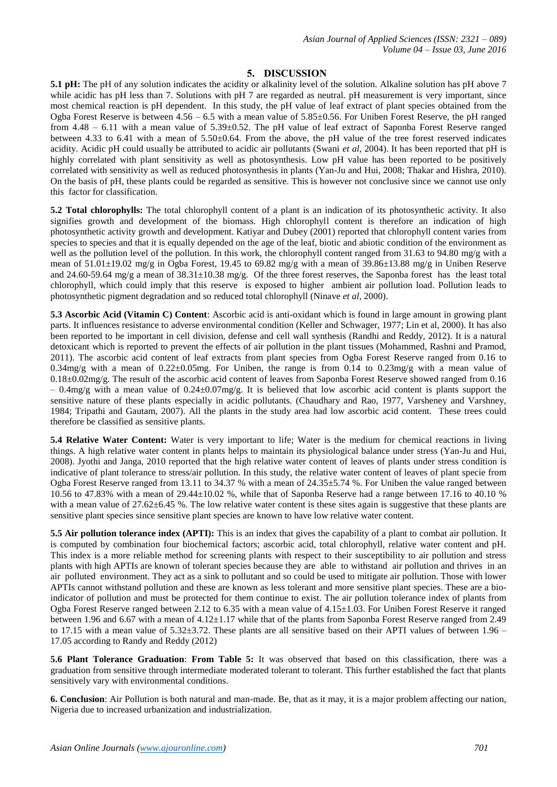#### **5. DISCUSSION**

**5.1 pH:** The pH of any solution indicates the acidity or alkalinity level of the solution. Alkaline solution has pH above 7 while acidic has pH less than 7. Solutions with pH 7 are regarded as neutral. pH measurement is very important, since most chemical reaction is pH dependent. In this study, the pH value of leaf extract of plant species obtained from the Ogba Forest Reserve is between 4.56 – 6.5 with a mean value of 5.85±0.56. For Uniben Forest Reserve, the pH ranged from 4.48 – 6.11 with a mean value of 5.39±0.52. The pH value of leaf extract of Saponba Forest Reserve ranged between 4.33 to 6.41 with a mean of 5.50±0.64. From the above, the pH value of the tree forest reserved indicates acidity. Acidic pH could usually be attributed to acidic air pollutants (Swani *et al*, 2004). It has been reported that pH is highly correlated with plant sensitivity as well as photosynthesis. Low pH value has been reported to be positively correlated with sensitivity as well as reduced photosynthesis in plants (Yan-Ju and Hui, 2008; Thakar and Hishra, 2010). On the basis of pH, these plants could be regarded as sensitive. This is however not conclusive since we cannot use only this factor for classification.

**5.2 Total chlorophylls:** The total chlorophyll content of a plant is an indication of its photosynthetic activity. It also signifies growth and development of the biomass. High chlorophyll content is therefore an indication of high photosynthetic activity growth and development. Katiyar and Dubey (2001) reported that chlorophyll content varies from species to species and that it is equally depended on the age of the leaf, biotic and abiotic condition of the environment as well as the pollution level of the pollution. In this work, the chlorophyll content ranged from 31.63 to 94.80 mg/g with a mean of 51.01±19.02 mg/g in Ogba Forest, 19.45 to 69.82 mg/g with a mean of 39.86±13.88 mg/g in Uniben Reserve and 24.60-59.64 mg/g a mean of  $38.31\pm10.38$  mg/g. Of the three forest reserves, the Saponba forest has the least total chlorophyll, which could imply that this reserve is exposed to higher ambient air pollution load. Pollution leads to photosynthetic pigment degradation and so reduced total chlorophyll (Ninave *et al*, 2000).

**5.3 Ascorbic Acid (Vitamin C) Content**: Ascorbic acid is anti-oxidant which is found in large amount in growing plant parts. It influences resistance to adverse environmental condition (Keller and Schwager, 1977; Lin et al, 2000). It has also been reported to be important in cell division, defense and cell wall synthesis (Randhi and Reddy, 2012). It is a natural detoxicant which is reported to prevent the effects of air pollution in the plant tissues (Mohammed, Rashni and Pramod, 2011). The ascorbic acid content of leaf extracts from plant species from Ogba Forest Reserve ranged from 0.16 to  $0.34$ mg/g with a mean of  $0.22 \pm 0.05$ mg. For Uniben, the range is from  $0.14$  to  $0.23$ mg/g with a mean value of 0.18±0.02mg/g. The result of the ascorbic acid content of leaves from Saponba Forest Reserve showed ranged from 0.16  $-0.4$ mg/g with a mean value of  $0.24\pm0.07$ mg/g. It is believed that low ascorbic acid content is plants support the sensitive nature of these plants especially in acidic pollutants. (Chaudhary and Rao, 1977, Varsheney and Varshney, 1984; Tripathi and Gautam, 2007). All the plants in the study area had low ascorbic acid content. These trees could therefore be classified as sensitive plants.

**5.4 Relative Water Content:** Water is very important to life; Water is the medium for chemical reactions in living things. A high relative water content in plants helps to maintain its physiological balance under stress (Yan-Ju and Hui, 2008). Jyothi and Janga, 2010 reported that the high relative water content of leaves of plants under stress condition is indicative of plant tolerance to stress/air pollution. In this study, the relative water content of leaves of plant specie from Ogba Forest Reserve ranged from 13.11 to 34.37 % with a mean of  $24.35\pm5.74$  %. For Uniben the value ranged between 10.56 to 47.83% with a mean of 29.44±10.02 %, while that of Saponba Reserve had a range between 17.16 to 40.10 % with a mean value of 27.62±6.45 %. The low relative water content is these sites again is suggestive that these plants are sensitive plant species since sensitive plant species are known to have low relative water content.

**5.5 Air pollution tolerance index (APTI):** This is an index that gives the capability of a plant to combat air pollution. It is computed by combination four biochemical factors; ascorbic acid, total chlorophyll, relative water content and pH. This index is a more reliable method for screening plants with respect to their susceptibility to air pollution and stress plants with high APTIs are known of tolerant species because they are able to withstand air pollution and thrives in an air polluted environment. They act as a sink to pollutant and so could be used to mitigate air pollution. Those with lower APTIs cannot withstand pollution and these are known as less tolerant and more sensitive plant species. These are a bioindicator of pollution and must be protected for them continue to exist. The air pollution tolerance index of plants from Ogba Forest Reserve ranged between 2.12 to 6.35 with a mean value of  $4.15\pm1.03$ . For Uniben Forest Reserve it ranged between 1.96 and 6.67 with a mean of 4.12±1.17 while that of the plants from Saponba Forest Reserve ranged from 2.49 to 17.15 with a mean value of  $5.32\pm3.72$ . These plants are all sensitive based on their APTI values of between  $1.96$  – 17.05 according to Randy and Reddy (2012)

**5.6 Plant Tolerance Graduation**: **From Table 5:** It was observed that based on this classification, there was a graduation from sensitive through intermediate moderated tolerant to tolerant. This further established the fact that plants sensitively vary with environmental conditions.

**6. Conclusion**: Air Pollution is both natural and man-made. Be, that as it may, it is a major problem affecting our nation, Nigeria due to increased urbanization and industrialization.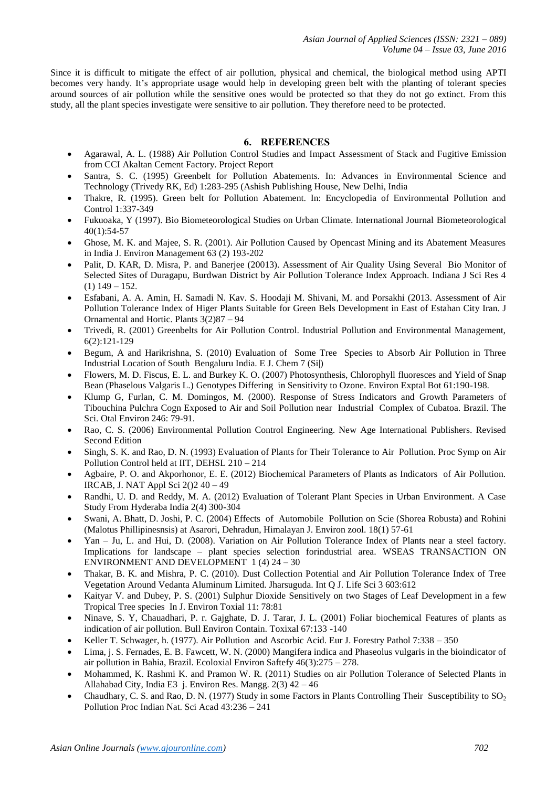Since it is difficult to mitigate the effect of air pollution, physical and chemical, the biological method using APTI becomes very handy. It's appropriate usage would help in developing green belt with the planting of tolerant species around sources of air pollution while the sensitive ones would be protected so that they do not go extinct. From this study, all the plant species investigate were sensitive to air pollution. They therefore need to be protected.

#### **6. REFERENCES**

- Agarawal, A. L. (1988) Air Pollution Control Studies and Impact Assessment of Stack and Fugitive Emission from CCI Akaltan Cement Factory. Project Report
- Santra, S. C. (1995) Greenbelt for Pollution Abatements. In: Advances in Environmental Science and Technology (Trivedy RK, Ed) 1:283-295 (Ashish Publishing House, New Delhi, India
- Thakre, R. (1995). Green belt for Pollution Abatement. In: Encyclopedia of Environmental Pollution and Control 1:337-349
- Fukuoaka, Y (1997). Bio Biometeorological Studies on Urban Climate. International Journal Biometeorological 40(1):54-57
- Ghose, M. K. and Majee, S. R. (2001). Air Pollution Caused by Opencast Mining and its Abatement Measures in India J. Environ Management 63 (2) 193-202
- Palit, D. KAR, D. Misra, P. and Banerjee (20013). Assessment of Air Quality Using Several Bio Monitor of Selected Sites of Duragapu, Burdwan District by Air Pollution Tolerance Index Approach. Indiana J Sci Res 4  $(1)$  149 – 152.
- Esfabani, A. A. Amin, H. Samadi N. Kav. S. Hoodaji M. Shivani, M. and Porsakhi (2013. Assessment of Air Pollution Tolerance Index of Higer Plants Suitable for Green Bels Development in East of Estahan City Iran. J Ornamental and Hortic. Plants 3(2)87 – 94
- Trivedi, R. (2001) Greenbelts for Air Pollution Control. Industrial Pollution and Environmental Management, 6(2):121-129
- Begum, A and Harikrishna, S. (2010) Evaluation of Some Tree Species to Absorb Air Pollution in Three Industrial Location of South Bengaluru India. E J. Chem 7 (Si|)
- Flowers, M. D. Fiscus, E. L. and Burkey K. O. (2007) Photosynthesis, Chlorophyll fluoresces and Yield of Snap Bean (Phaselous Valgaris L.) Genotypes Differing in Sensitivity to Ozone. Environ Exptal Bot 61:190-198.
- Klump G, Furlan, C. M. Domingos, M. (2000). Response of Stress Indicators and Growth Parameters of Tibouchina Pulchra Cogn Exposed to Air and Soil Pollution near Industrial Complex of Cubatoa. Brazil. The Sci. Otal Environ 246: 79-91.
- Rao, C. S. (2006) Environmental Pollution Control Engineering. New Age International Publishers. Revised Second Edition
- Singh, S. K. and Rao, D. N. (1993) Evaluation of Plants for Their Tolerance to Air Pollution. Proc Symp on Air Pollution Control held at IIT, DEHSL 210 – 214
- Agbaire, P. O. and Akporhonor, E. E. (2012) Biochemical Parameters of Plants as Indicators of Air Pollution. IRCAB, J. NAT Appl Sci 2()2 40 – 49
- Randhi, U. D. and Reddy, M. A. (2012) Evaluation of Tolerant Plant Species in Urban Environment. A Case Study From Hyderaba India 2(4) 300-304
- Swani, A. Bhatt, D. Joshi, P. C. (2004) Effects of Automobile Pollution on Scie (Shorea Robusta) and Rohini (Malotus Phillipinesnsis) at Asarori, Dehradun, Himalayan J. Environ zool. 18(1) 57-61
- Yan Ju, L. and Hui, D. (2008). Variation on Air Pollution Tolerance Index of Plants near a steel factory. Implications for landscape – plant species selection forindustrial area. WSEAS TRANSACTION ON ENVIRONMENT AND DEVELOPMENT 1 (4) 24 – 30
- Thakar, B. K. and Mishra, P. C. (2010). Dust Collection Potential and Air Pollution Tolerance Index of Tree Vegetation Around Vedanta Aluminum Limited. Jharsuguda. Int Q J. Life Sci 3 603:612
- Kaityar V. and Dubey, P. S. (2001) Sulphur Dioxide Sensitively on two Stages of Leaf Development in a few Tropical Tree species In J. Environ Toxial 11: 78:81
- Ninave, S. Y, Chauadhari, P. r. Gajghate, D. J. Tarar, J. L. (2001) Foliar biochemical Features of plants as indication of air pollution. Bull Environ Contain. Toxixal 67:133 -140
- Keller T. Schwager, h. (1977). Air Pollution and Ascorbic Acid. Eur J. Forestry Pathol 7:338 350
- Lima, j. S. Fernades, E. B. Fawcett, W. N. (2000) Mangifera indica and Phaseolus vulgaris in the bioindicator of air pollution in Bahia, Brazil. Ecoloxial Environ Saftefy 46(3):275 – 278.
- Mohammed, K. Rashmi K. and Pramon W. R. (2011) Studies on air Pollution Tolerance of Selected Plants in Allahabad City, India E3 j. Environ Res. Mangg. 2(3) 42 – 46
- Chaudhary, C. S. and Rao, D. N. (1977) Study in some Factors in Plants Controlling Their Susceptibility to  $SO_2$ Pollution Proc Indian Nat. Sci Acad 43:236 – 241